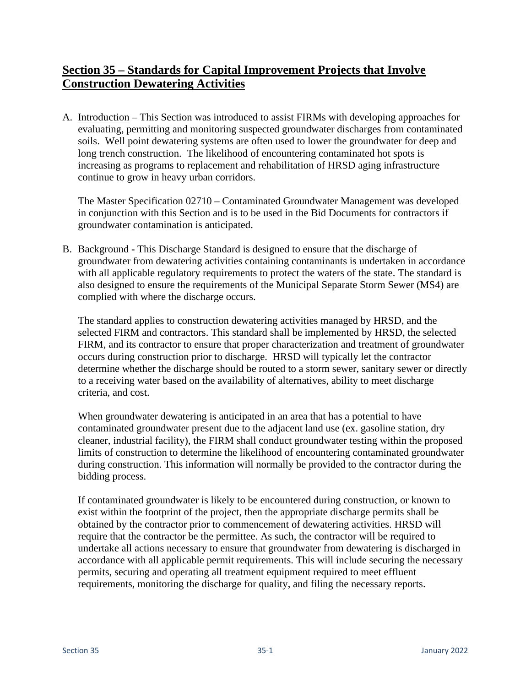## **Section 35 – Standards for Capital Improvement Projects that Involve Construction Dewatering Activities**

A. Introduction – This Section was introduced to assist FIRMs with developing approaches for evaluating, permitting and monitoring suspected groundwater discharges from contaminated soils. Well point dewatering systems are often used to lower the groundwater for deep and long trench construction. The likelihood of encountering contaminated hot spots is increasing as programs to replacement and rehabilitation of HRSD aging infrastructure continue to grow in heavy urban corridors.

The Master Specification 02710 – Contaminated Groundwater Management was developed in conjunction with this Section and is to be used in the Bid Documents for contractors if groundwater contamination is anticipated.

B. Background **-** This Discharge Standard is designed to ensure that the discharge of groundwater from dewatering activities containing contaminants is undertaken in accordance with all applicable regulatory requirements to protect the waters of the state. The standard is also designed to ensure the requirements of the Municipal Separate Storm Sewer (MS4) are complied with where the discharge occurs.

The standard applies to construction dewatering activities managed by HRSD, and the selected FIRM and contractors. This standard shall be implemented by HRSD, the selected FIRM, and its contractor to ensure that proper characterization and treatment of groundwater occurs during construction prior to discharge. HRSD will typically let the contractor determine whether the discharge should be routed to a storm sewer, sanitary sewer or directly to a receiving water based on the availability of alternatives, ability to meet discharge criteria, and cost.

When groundwater dewatering is anticipated in an area that has a potential to have contaminated groundwater present due to the adjacent land use (ex. gasoline station, dry cleaner, industrial facility), the FIRM shall conduct groundwater testing within the proposed limits of construction to determine the likelihood of encountering contaminated groundwater during construction. This information will normally be provided to the contractor during the bidding process.

If contaminated groundwater is likely to be encountered during construction, or known to exist within the footprint of the project, then the appropriate discharge permits shall be obtained by the contractor prior to commencement of dewatering activities. HRSD will require that the contractor be the permittee. As such, the contractor will be required to undertake all actions necessary to ensure that groundwater from dewatering is discharged in accordance with all applicable permit requirements. This will include securing the necessary permits, securing and operating all treatment equipment required to meet effluent requirements, monitoring the discharge for quality, and filing the necessary reports.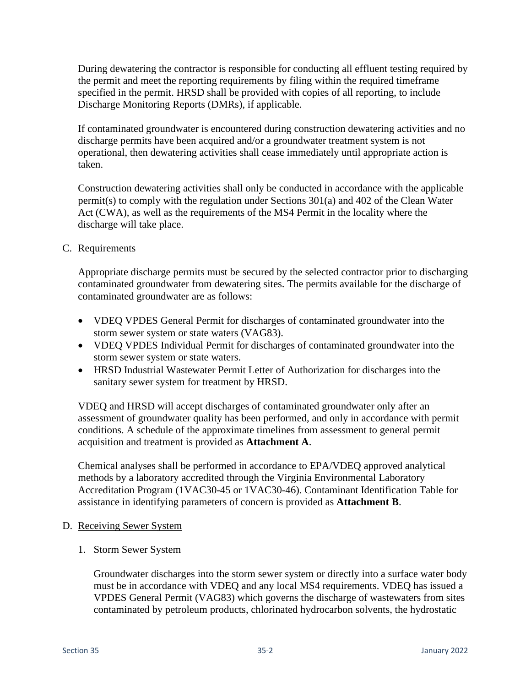During dewatering the contractor is responsible for conducting all effluent testing required by the permit and meet the reporting requirements by filing within the required timeframe specified in the permit. HRSD shall be provided with copies of all reporting, to include Discharge Monitoring Reports (DMRs), if applicable.

If contaminated groundwater is encountered during construction dewatering activities and no discharge permits have been acquired and/or a groundwater treatment system is not operational, then dewatering activities shall cease immediately until appropriate action is taken.

Construction dewatering activities shall only be conducted in accordance with the applicable permit(s) to comply with the regulation under Sections 301(a) and 402 of the Clean Water Act (CWA), as well as the requirements of the MS4 Permit in the locality where the discharge will take place.

C. Requirements

Appropriate discharge permits must be secured by the selected contractor prior to discharging contaminated groundwater from dewatering sites. The permits available for the discharge of contaminated groundwater are as follows:

- VDEQ VPDES General Permit for discharges of contaminated groundwater into the storm sewer system or state waters (VAG83).
- VDEQ VPDES Individual Permit for discharges of contaminated groundwater into the storm sewer system or state waters.
- HRSD Industrial Wastewater Permit Letter of Authorization for discharges into the sanitary sewer system for treatment by HRSD.

VDEQ and HRSD will accept discharges of contaminated groundwater only after an assessment of groundwater quality has been performed, and only in accordance with permit conditions. A schedule of the approximate timelines from assessment to general permit acquisition and treatment is provided as **Attachment A**.

Chemical analyses shall be performed in accordance to EPA/VDEQ approved analytical methods by a laboratory accredited through the Virginia Environmental Laboratory Accreditation Program (1VAC30-45 or 1VAC30-46). Contaminant Identification Table for assistance in identifying parameters of concern is provided as **Attachment B**.

- D. Receiving Sewer System
	- 1. Storm Sewer System

Groundwater discharges into the storm sewer system or directly into a surface water body must be in accordance with VDEQ and any local MS4 requirements. VDEQ has issued a VPDES General Permit (VAG83) which governs the discharge of wastewaters from sites contaminated by petroleum products, chlorinated hydrocarbon solvents, the hydrostatic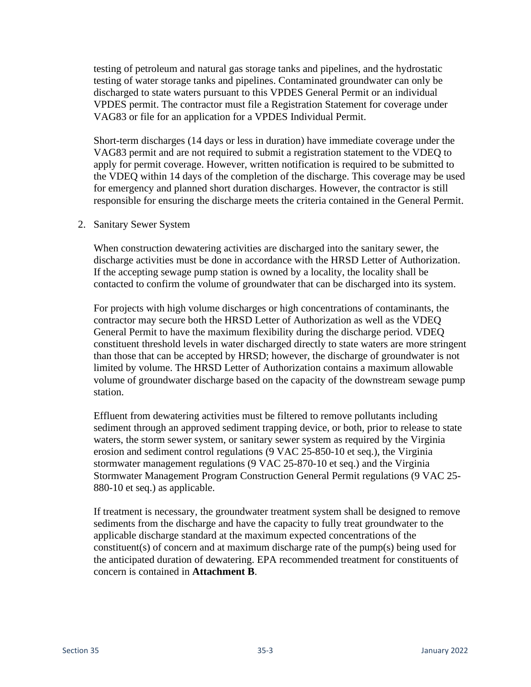testing of petroleum and natural gas storage tanks and pipelines, and the hydrostatic testing of water storage tanks and pipelines. Contaminated groundwater can only be discharged to state waters pursuant to this VPDES General Permit or an individual VPDES permit. The contractor must file a Registration Statement for coverage under VAG83 or file for an application for a VPDES Individual Permit.

Short-term discharges (14 days or less in duration) have immediate coverage under the VAG83 permit and are not required to submit a registration statement to the VDEQ to apply for permit coverage. However, written notification is required to be submitted to the VDEQ within 14 days of the completion of the discharge. This coverage may be used for emergency and planned short duration discharges. However, the contractor is still responsible for ensuring the discharge meets the criteria contained in the General Permit.

2. Sanitary Sewer System

When construction dewatering activities are discharged into the sanitary sewer, the discharge activities must be done in accordance with the HRSD Letter of Authorization. If the accepting sewage pump station is owned by a locality, the locality shall be contacted to confirm the volume of groundwater that can be discharged into its system.

For projects with high volume discharges or high concentrations of contaminants, the contractor may secure both the HRSD Letter of Authorization as well as the VDEQ General Permit to have the maximum flexibility during the discharge period. VDEQ constituent threshold levels in water discharged directly to state waters are more stringent than those that can be accepted by HRSD; however, the discharge of groundwater is not limited by volume. The HRSD Letter of Authorization contains a maximum allowable volume of groundwater discharge based on the capacity of the downstream sewage pump station.

Effluent from dewatering activities must be filtered to remove pollutants including sediment through an approved sediment trapping device, or both, prior to release to state waters, the storm sewer system, or sanitary sewer system as required by the Virginia erosion and sediment control regulations (9 VAC 25-850-10 et seq.), the Virginia stormwater management regulations (9 VAC 25-870-10 et seq.) and the Virginia Stormwater Management Program Construction General Permit regulations (9 VAC 25- 880-10 et seq.) as applicable.

If treatment is necessary, the groundwater treatment system shall be designed to remove sediments from the discharge and have the capacity to fully treat groundwater to the applicable discharge standard at the maximum expected concentrations of the constituent(s) of concern and at maximum discharge rate of the pump(s) being used for the anticipated duration of dewatering. EPA recommended treatment for constituents of concern is contained in **Attachment B**.